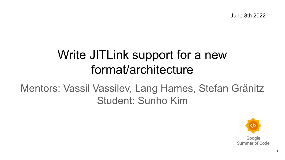June 8th 2022

# Write JITLink support for a new format/architecture

# Mentors: Vassil Vassilev, Lang Hames, Stefan Gränitz Student: Sunho Kim

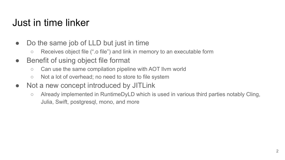## Just in time linker

- Do the same job of LLD but just in time
	- Receives object file (".o file") and link in memory to an executable form
- Benefit of using object file format
	- Can use the same compilation pipeline with AOT llvm world
	- Not a lot of overhead; no need to store to file system
- Not a new concept introduced by JITLink
	- Already implemented in RuntimeDyLD which is used in various third parties notably Cling, Julia, Swift, postgresql, mono, and more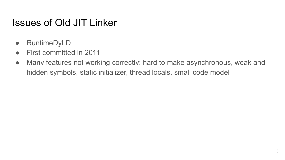#### Issues of Old JIT Linker

- RuntimeDyLD
- First committed in 2011
- Many features not working correctly: hard to make asynchronous, weak and hidden symbols, static initializer, thread locals, small code model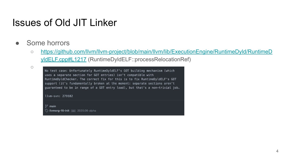#### Issues of Old JIT Linker

- Some horrors
	- [https://github.com/llvm/llvm-project/blob/main/llvm/lib/ExecutionEngine/RuntimeDyld/RuntimeD](https://github.com/llvm/llvm-project/blob/main/llvm/lib/ExecutionEngine/RuntimeDyld/RuntimeDyldELF.cpp#L1217) [yldELF.cpp#L1217](https://github.com/llvm/llvm-project/blob/main/llvm/lib/ExecutionEngine/RuntimeDyld/RuntimeDyldELF.cpp#L1217) (RuntimeDyldELF::processRelocationRef)

○

No test case: Unfortunately RuntimeDyldELF's GOT building mechanism (which uses a separate section for GOT entries) isn't compatible with RuntimeDyldChecker. The correct fix for this is to fix RuntimeDyldELF's GOT support (it's fundamentally broken at the moment: separate sections aren't guaranteed to be in range of a GOT entry load), but that's a non-trivial job.

llvm-svn: 279182

 $\mathbb{P}^{\circ}$  main **V** Ilvmorg-15-init ... 2020.06-alpha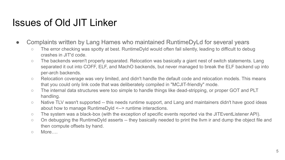#### Issues of Old JIT Linker

- Complaints written by Lang Hames who maintained RuntimeDyLd for several years
	- The error checking was spotty at best. RuntimeDyld would often fail silently, leading to difficult to debug crashes in JIT'd code.
	- The backends weren't properly separated. Relocation was basically a giant nest of switch statements. Lang separated it out into COFF, ELF, and MachO backends, but never managed to break the ELF backend up into per-arch backends.
	- Relocation coverage was very limited, and didn't handle the default code and relocation models. This means that you could only link code that was deliberately compiled in "MCJIT-friendly" mode.
	- The internal data structures were too simple to handle things like dead-stripping, or proper GOT and PLT handling.
	- Native TLV wasn't supported -- this needs runtime support, and Lang and maintainers didn't have good ideas about how to manage RuntimeDyld <--> runtime interactions.
	- The system was a black-box (with the exception of specific events reported via the JITEventListener API).
	- On debugging the RuntimeDyld asserts -- they basically needed to print the llvm ir and dump the object file and then compute offsets by hand.
	- More….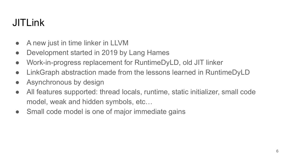# JITLink

- A new just in time linker in LLVM
- Development started in 2019 by Lang Hames
- Work-in-progress replacement for RuntimeDyLD, old JIT linker
- LinkGraph abstraction made from the lessons learned in RuntimeDyLD
- Asynchronous by design
- All features supported: thread locals, runtime, static initializer, small code model, weak and hidden symbols, etc…
- Small code model is one of major immediate gains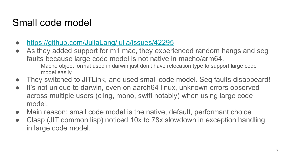## Small code model

- <https://github.com/JuliaLang/julia/issues/42295>
- As they added support for m1 mac, they experienced random hangs and seg faults because large code model is not native in macho/arm64.
	- Macho object format used in darwin just don't have relocation type to support large code model easily
- They switched to JITLink, and used small code model. Seg faults disappeard!
- It's not unique to darwin, even on aarch64 linux, unknown errors observed across multiple users (cling, mono, swift notably) when using large code model.
- Main reason: small code model is the native, default, performant choice
- Clasp (JIT common lisp) noticed 10x to 78x slowdown in exception handling in large code model.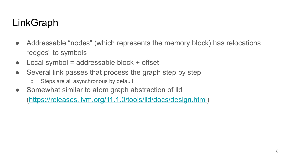# LinkGraph

- Addressable "nodes" (which represents the memory block) has relocations "edges" to symbols
- $\bullet$  Local symbol = addressable block + offset
- Several link passes that process the graph step by step
	- Steps are all asynchronous by default
- Somewhat similar to atom graph abstraction of Ild

[\(https://releases.llvm.org/11.1.0/tools/lld/docs/design.html](https://releases.llvm.org/11.1.0/tools/lld/docs/design.html))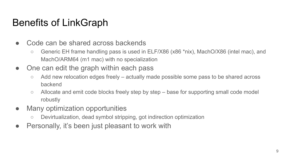## Benefits of LinkGraph

- Code can be shared across backends
	- Generic EH frame handling pass is used in ELF/X86 (x86 \*nix), MachO/X86 (intel mac), and MachO/ARM64 (m1 mac) with no specialization
- One can edit the graph within each pass
	- Add new relocation edges freely actually made possible some pass to be shared across backend
	- Allocate and emit code blocks freely step by step base for supporting small code model robustly
- Many optimization opportunities
	- Devirtualization, dead symbol stripping, got indirection optimization
- Personally, it's been just pleasant to work with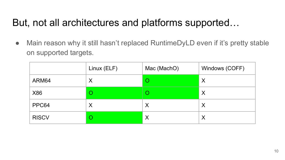## But, not all architectures and platforms supported…

• Main reason why it still hasn't replaced RuntimeDyLD even if it's pretty stable on supported targets.

|              | Linux (ELF) | Mac (MachO) | Windows (COFF) |
|--------------|-------------|-------------|----------------|
| ARM64        | Χ           |             | X              |
| X86          | O           |             | X              |
| PPC64        | Χ           | Χ           | Χ              |
| <b>RISCV</b> | O           | Χ           | Χ              |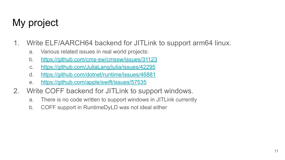# My project

- 1. Write ELF/AARCH64 backend for JITLink to support arm64 linux.
	- a. Various related issues in real world projects:
	- b. <https://github.com/cms-sw/cmssw/issues/31123>
	- c. <https://github.com/JuliaLang/julia/issues/42295>
	- d. <https://github.com/dotnet/runtime/issues/46881>
	- e. <https://github.com/apple/swift/issues/57535>
- 2. Write COFF backend for JITLink to support windows.
	- a. There is no code written to support windows in JITLink currently
	- b. COFF support in RuntimeDyLD was not ideal either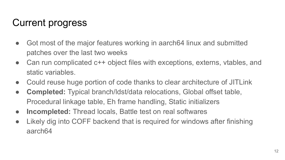# Current progress

- Got most of the major features working in aarch64 linux and submitted patches over the last two weeks
- Can run complicated c++ object files with exceptions, externs, vtables, and static variables.
- Could reuse huge portion of code thanks to clear architecture of JITLink
- **Completed:** Typical branch/ldst/data relocations, Global offset table, Procedural linkage table, Eh frame handling, Static initializers
- **Incompleted:** Thread locals, Battle test on real softwares
- Likely dig into COFF backend that is required for windows after finishing aarch64